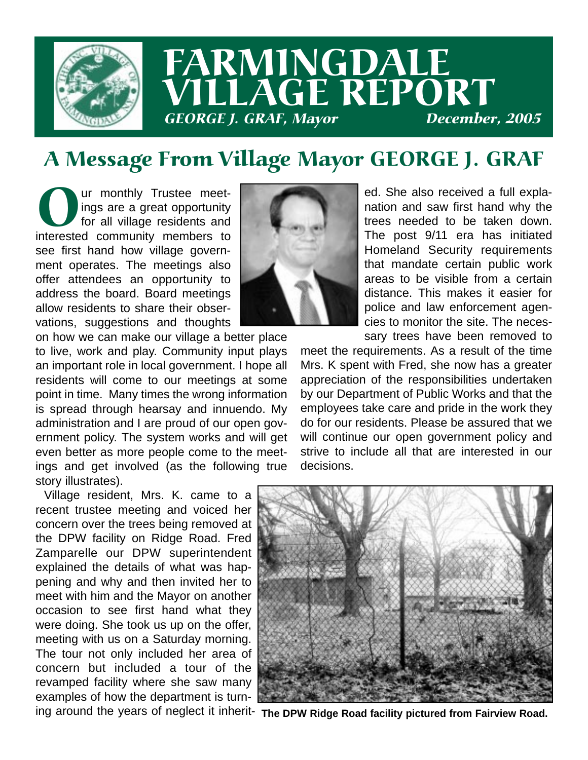

# FARMINGDALE VILLAGE REPORT GEORGE J. GRAF, Mayor December, 2005

# A Message From Village Mayor GEORGE J. GRAF

Our monthly Trustee meet-<br>ings are a great opportunity<br>for all village residents and<br>interested community members to ings are a great opportunity for all village residents and see first hand how village government operates. The meetings also offer attendees an opportunity to address the board. Board meetings allow residents to share their observations, suggestions and thoughts

on how we can make our village a better place to live, work and play. Community input plays an important role in local government. I hope all residents will come to our meetings at some point in time. Many times the wrong information is spread through hearsay and innuendo. My administration and I are proud of our open government policy. The system works and will get even better as more people come to the meetings and get involved (as the following true story illustrates).

Village resident, Mrs. K. came to a recent trustee meeting and voiced her concern over the trees being removed at the DPW facility on Ridge Road. Fred Zamparelle our DPW superintendent explained the details of what was happening and why and then invited her to meet with him and the Mayor on another occasion to see first hand what they were doing. She took us up on the offer, meeting with us on a Saturday morning. The tour not only included her area of concern but included a tour of the revamped facility where she saw many examples of how the department is turn-



ed. She also received a full explanation and saw first hand why the trees needed to be taken down. The post 9/11 era has initiated Homeland Security requirements that mandate certain public work areas to be visible from a certain distance. This makes it easier for police and law enforcement agencies to monitor the site. The necessary trees have been removed to

meet the requirements. As a result of the time Mrs. K spent with Fred, she now has a greater appreciation of the responsibilities undertaken by our Department of Public Works and that the employees take care and pride in the work they do for our residents. Please be assured that we will continue our open government policy and strive to include all that are interested in our decisions.



ing around the years of neglect it inherit- The DPW Ridge Road facility pictured from Fairview Road.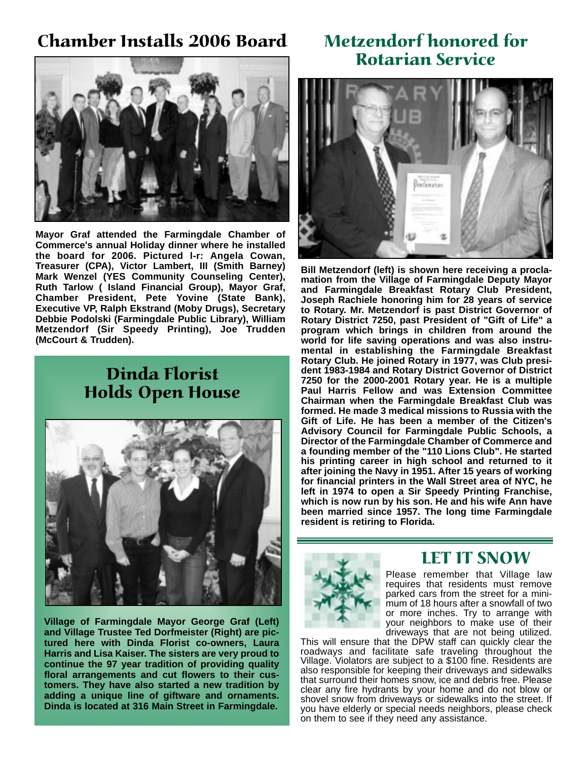### Chamber Installs 2006 Board



**Mayor Graf attended the Farmingdale Chamber of Commerce's annual Holiday dinner where he installed the board for 2006. Pictured l-r: Angela Cowan, Treasurer (CPA), Victor Lambert, III (Smith Barney) Mark Wenzel (YES Community Counseling Center), Ruth Tarlow ( Island Financial Group), Mayor Graf, Chamber President, Pete Yovine (State Bank), Executive VP, Ralph Ekstrand (Moby Drugs), Secretary Debbie Podolski (Farmingdale Public Library), William Metzendorf (Sir Speedy Printing), Joe Trudden (McCourt & Trudden).**

### Dinda Florist Holds Open House



**Village of Farmingdale Mayor George Graf (Left) and Village Trustee Ted Dorfmeister (Right) are pictured here with Dinda Florist co-owners, Laura Harris and Lisa Kaiser. The sisters are very proud to continue the 97 year tradition of providing quality floral arrangements and cut flowers to their customers. They have also started a new tradition by adding a unique line of giftware and ornaments. Dinda is located at 316 Main Street in Farmingdale.** 

### Metzendorf honored for Rotarian Service



**Bill Metzendorf (left) is shown here receiving a proclamation from the Village of Farmingdale Deputy Mayor and Farmingdale Breakfast Rotary Club President, Joseph Rachiele honoring him for 28 years of service to Rotary. Mr. Metzendorf is past District Governor of Rotary District 7250, past President of "Gift of Life" a program which brings in children from around the world for life saving operations and was also instrumental in establishing the Farmingdale Breakfast Rotary Club. He joined Rotary in 1977, was Club president 1983-1984 and Rotary District Governor of District 7250 for the 2000-2001 Rotary year. He is a multiple Paul Harris Fellow and was Extension Committee Chairman when the Farmingdale Breakfast Club was formed. He made 3 medical missions to Russia with the Gift of Life. He has been a member of the Citizen's Advisory Council for Farmingdale Public Schools, a Director of the Farmingdale Chamber of Commerce and a founding member of the "110 Lions Club". He started his printing career in high school and returned to it after joining the Navy in 1951. After 15 years of working for financial printers in the Wall Street area of NYC, he left in 1974 to open a Sir Speedy Printing Franchise, which is now run by his son. He and his wife Ann have been married since 1957. The long time Farmingdale resident is retiring to Florida.** 



#### LET IT SNOW

Please remember that Village law requires that residents must remove parked cars from the street for a minimum of 18 hours after a snowfall of two or more inches. Try to arrange with your neighbors to make use of their driveways that are not being utilized.

This will ensure that the DPW staff can quickly clear the roadways and facilitate safe traveling throughout the Village. Violators are subject to a \$100 fine. Residents are also responsible for keeping their driveways and sidewalks that surround their homes snow, ice and debris free. Please clear any fire hydrants by your home and do not blow or shovel snow from driveways or sidewalks into the street. If you have elderly or special needs neighbors, please check on them to see if they need any assistance.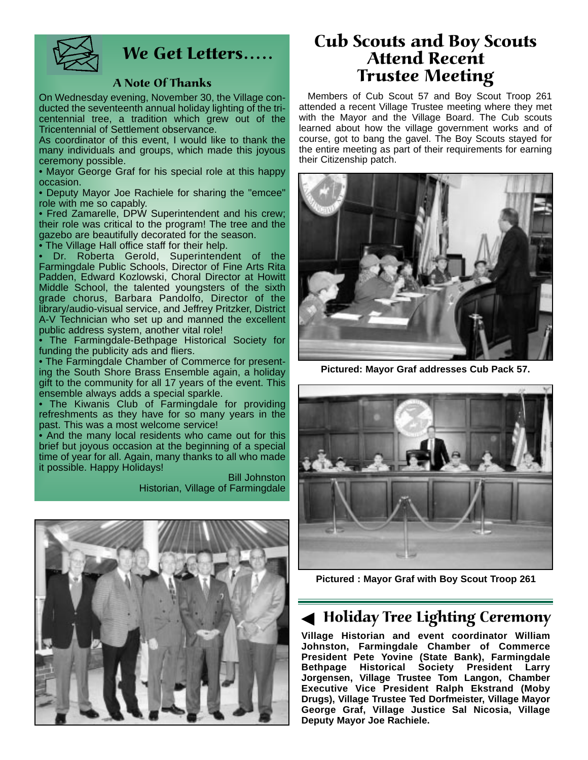

### We Get Letters.....

#### A Note Of Thanks

On Wednesday evening, November 30, the Village conducted the seventeenth annual holiday lighting of the tricentennial tree, a tradition which grew out of the Tricentennial of Settlement observance.

As coordinator of this event, I would like to thank the many individuals and groups, which made this joyous ceremony possible.

• Mayor George Graf for his special role at this happy occasion.

• Deputy Mayor Joe Rachiele for sharing the "emcee" role with me so capably.

• Fred Zamarelle, DPW Superintendent and his crew; their role was critical to the program! The tree and the gazebo are beautifully decorated for the season.

• The Village Hall office staff for their help.

• Dr. Roberta Gerold, Superintendent of the Farmingdale Public Schools, Director of Fine Arts Rita Padden, Edward Kozlowski, Choral Director at Howitt Middle School, the talented youngsters of the sixth grade chorus, Barbara Pandolfo, Director of the library/audio-visual service, and Jeffrey Pritzker, District A-V Technician who set up and manned the excellent public address system, another vital role!

• The Farmingdale-Bethpage Historical Society for funding the publicity ads and fliers.

• The Farmingdale Chamber of Commerce for presenting the South Shore Brass Ensemble again, a holiday gift to the community for all 17 years of the event. This ensemble always adds a special sparkle.

• The Kiwanis Club of Farmingdale for providing refreshments as they have for so many years in the past. This was a most welcome service!

• And the many local residents who came out for this brief but joyous occasion at the beginning of a special time of year for all. Again, many thanks to all who made it possible. Happy Holidays!

> Bill Johnston Historian, Village of Farmingdale



#### Cub Scouts and Boy Scouts Attend Recent Trustee Meeting

Members of Cub Scout 57 and Boy Scout Troop 261 attended a recent Village Trustee meeting where they met with the Mayor and the Village Board. The Cub scouts learned about how the village government works and of course, got to bang the gavel. The Boy Scouts stayed for the entire meeting as part of their requirements for earning their Citizenship patch.



**Pictured: Mayor Graf addresses Cub Pack 57.** 



**Pictured : Mayor Graf with Boy Scout Troop 261** 

#### ◆ Holiday Tree Lighting Ceremony

**Village Historian and event coordinator William Johnston, Farmingdale Chamber of Commerce President Pete Yovine (State Bank), Farmingdale Bethpage Historical Society President Larry Jorgensen, Village Trustee Tom Langon, Chamber Executive Vice President Ralph Ekstrand (Moby Drugs), Village Trustee Ted Dorfmeister, Village Mayor George Graf, Village Justice Sal Nicosia, Village Deputy Mayor Joe Rachiele.**